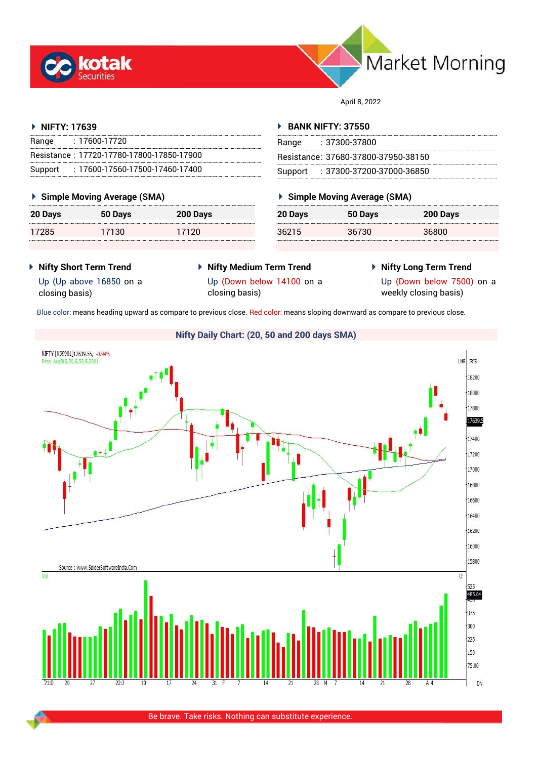



April 8, 2022

## **NIFTY: 17639**

| Range   | : 17600-17720                             |
|---------|-------------------------------------------|
|         | Resistance: 17720-17780-17800-17850-17900 |
| Support | $: 17600 - 17560 - 17500 - 17460 - 17400$ |

## **Simple Moving Average (SMA)**

| 20 Days | 50 Days | 200 Days |
|---------|---------|----------|
| 17285   | 17130   | 17120    |

## **BANK NIFTY: 37550**

| Range | : 37300-37800                       |
|-------|-------------------------------------|
|       | Resistance: 37680-37800-37950-38150 |
|       | Support: : 37300-37200-37000-36850  |

## **Simple Moving Average (SMA)**

| 36215<br>36800<br>36730 | 20 Days | 50 Days | 200 Days |
|-------------------------|---------|---------|----------|
|                         |         |         |          |

- **Nifty Short Term Trend**
- **Nifty Medium Term Trend**
- **Nifty Long Term Trend**

Up (Up above 16850 on a closing basis)

Up (Down below 14100 on a closing basis)

Up (Down below 7500) on a weekly closing basis)

Blue color: means heading upward as compare to previous close. Red color: means sloping downward as compare to previous close.

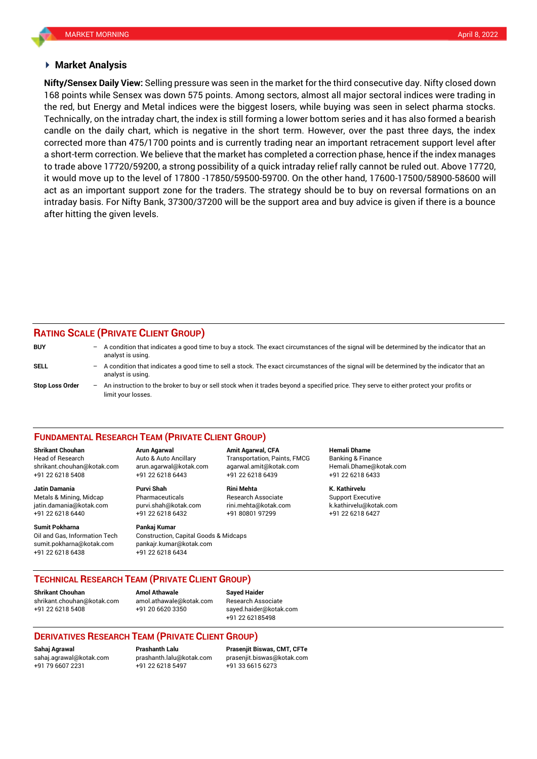## **Market Analysis**

168 points while Sensex was down 575 points. Among sectors, almost all major sectoral indices were trading in **Nifty/Sensex Daily View:** Selling pressure was seen in the market for the third consecutive day. Nifty closed down the red, but Energy and Metal indices were the biggest losers, while buying was seen in select pharma stocks. Technically, on the intraday chart, the index is still forming a lower bottom series and it has also formed a bearish candle on the daily chart, which is negative in the short term. However, over the past three days, the index corrected more than 475/1700 points and is currently trading near an important retracement support level after a short-term correction. We believe that the market has completed a correction phase, hence if the index manages to trade above 17720/59200, a strong possibility of a quick intraday relief rally cannot be ruled out. Above 17720, it would move up to the level of 17800 -17850/59500-59700. On the other hand, 17600-17500/58900-58600 will act as an important support zone for the traders. The strategy should be to buy on reversal formations on an intraday basis. For Nifty Bank, 37300/37200 will be the support area and buy advice is given if there is a bounce after hitting the given levels.

## **RATING SCALE (PRIVATE CLIENT GROUP)**

| <b>BUY</b>      | $\overline{\phantom{0}}$ | A condition that indicates a good time to buy a stock. The exact circumstances of the signal will be determined by the indicator that an<br>analyst is using.  |
|-----------------|--------------------------|----------------------------------------------------------------------------------------------------------------------------------------------------------------|
| SELL            | $-$                      | A condition that indicates a good time to sell a stock. The exact circumstances of the signal will be determined by the indicator that an<br>analyst is using. |
| Stop Loss Order | $-$                      | An instruction to the broker to buy or sell stock when it trades beyond a specified price. They serve to either protect your profits or<br>limit vour losses.  |

## **FUNDAMENTAL RESEARCH TEAM (PRIVATE CLIENT GROUP)**

Head of Research Auto & Auto Ancillary Transportation, Paints, FMCG Banking & Finance [shrikant.chouhan@kotak.com](mailto:shrikant.chouhan@kotak.com) arun.agarwal@kotak.com agarwal.amit@kotak.com Hemali.Dhame@kotak.com

**Jatin Damania Purvi Shah Rini Mehta K. Kathirvelu** Metals & Mining, Midcap **Pharmaceuticals** Research Associate Support Executive jatin.damania@kotak.com [purvi.shah@kotak.com](mailto:purvi.shah@kotak.com) rini.mehta@kotak.com [k.kathirvelu@kotak.com](mailto:k.kathirvelu@kotak.com)

**Sumit Pokharna Pankaj Kumar** Oil and Gas, Information Tech Construction, Capital Goods & Midcaps

+91 22 6218 5408 +91 22 6218 6443 +91 22 6218 6439 +91 22 6218 6433

+91 22 6218 6440 +91 22 6218 6432 +91 80801 97299 +91 22 6218 6427

sumit.pokharna@kotak.com pankajr.kumar@kotak.com +91 22 6218 6438 +91 22 6218 6434

## **TECHNICAL RESEARCH TEAM (PRIVATE CLIENT GROUP)**

[shrikant.chouhan@kotak.com](mailto:shrikant.chouhan@kotak.com) [amol.athawale@kotak.com](mailto:amol.athawale@kotak.com) Research Associate +91 22 6218 5408 +91 20 6620 3350 [sayed.haider@kotak.com](mailto:sayed.haider@kotak.com)

**Shrikant Chouhan**<br>**Amol Athawale Athawale Chomes and athawale @kotak com Besearch Ass** 

+91 22 62185498

## **DERIVATIVES RESEARCH TEAM (PRIVATE CLIENT GROUP)**

+91 79 6607 2231 +91 22 6218 5497 +91 33 6615 6273

**Sahaj Agrawal Prashanth Lalu Prasenjit Biswas, CMT, CFTe** [sahaj.agrawal@kotak.com](mailto:sahaj.agrawal@kotak.com) [prashanth.lalu@kotak.com](mailto:prashanth.lalu@kotak.com) [prasenjit.biswas@kotak.com](mailto:prasenjit.biswas@kotak.com)

# **Shrikant Chouhan Arun Agarwal Amit Agarwal, CFA Hemali Dhame**